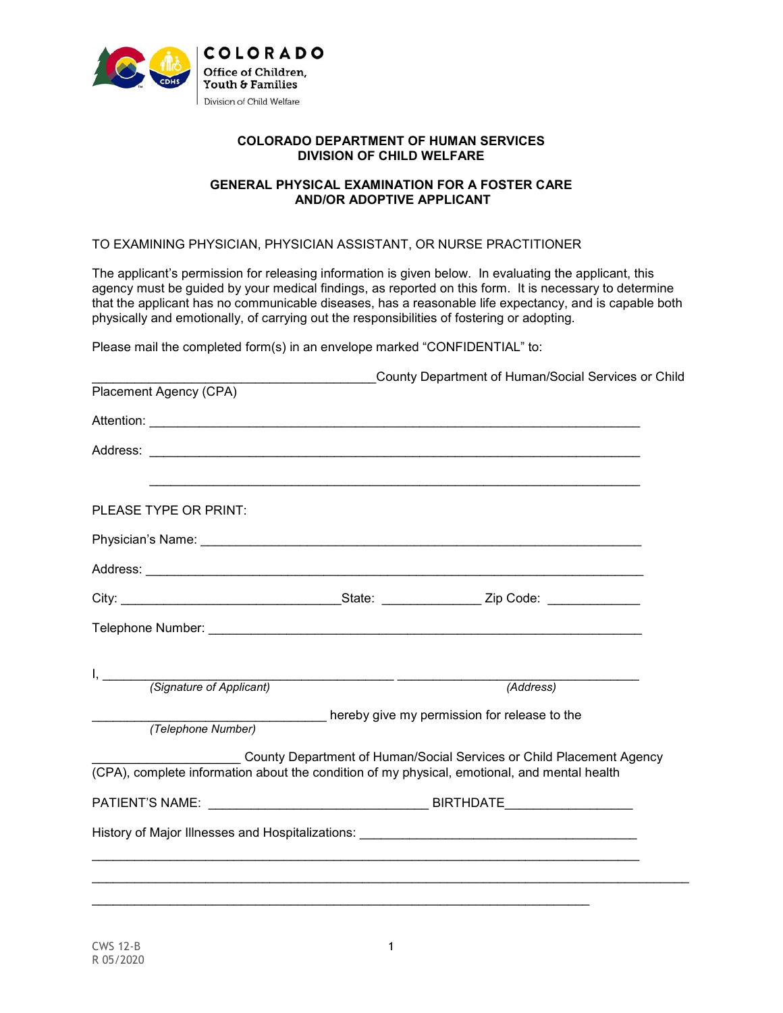

## **COLORADO DEPARTMENT OF HUMAN SERVICES DIVISION OF CHILD WELFARE**

## **GENERAL PHYSICAL EXAMINATION FOR A FOSTER CARE AND/OR ADOPTIVE APPLICANT**

## TO EXAMINING PHYSICIAN, PHYSICIAN ASSISTANT, OR NURSE PRACTITIONER

The applicant's permission for releasing information is given below. In evaluating the applicant, this agency must be guided by your medical findings, as reported on this form. It is necessary to determine that the applicant has no communicable diseases, has a reasonable life expectancy, and is capable both physically and emotionally, of carrying out the responsibilities of fostering or adopting.

Please mail the completed form(s) in an envelope marked "CONFIDENTIAL" to:

| (Signature of Applicant)<br>(Address)<br>(Telephone Number) hereby give my permission for release to the<br>County Department of Human/Social Services or Child Placement Agency |                        |  | County Department of Human/Social Services or Child |  |  |  |  |
|----------------------------------------------------------------------------------------------------------------------------------------------------------------------------------|------------------------|--|-----------------------------------------------------|--|--|--|--|
|                                                                                                                                                                                  | Placement Agency (CPA) |  |                                                     |  |  |  |  |
|                                                                                                                                                                                  |                        |  |                                                     |  |  |  |  |
| PLEASE TYPE OR PRINT:                                                                                                                                                            |                        |  |                                                     |  |  |  |  |
|                                                                                                                                                                                  |                        |  |                                                     |  |  |  |  |
|                                                                                                                                                                                  |                        |  |                                                     |  |  |  |  |
|                                                                                                                                                                                  |                        |  |                                                     |  |  |  |  |
| $\mathsf{I}, \underline{\hspace{2cm}}$<br>(CPA), complete information about the condition of my physical, emotional, and mental health                                           |                        |  |                                                     |  |  |  |  |
|                                                                                                                                                                                  |                        |  |                                                     |  |  |  |  |
|                                                                                                                                                                                  |                        |  |                                                     |  |  |  |  |
|                                                                                                                                                                                  |                        |  |                                                     |  |  |  |  |
|                                                                                                                                                                                  |                        |  |                                                     |  |  |  |  |
|                                                                                                                                                                                  |                        |  |                                                     |  |  |  |  |
|                                                                                                                                                                                  |                        |  |                                                     |  |  |  |  |
|                                                                                                                                                                                  |                        |  |                                                     |  |  |  |  |
|                                                                                                                                                                                  |                        |  |                                                     |  |  |  |  |
|                                                                                                                                                                                  |                        |  |                                                     |  |  |  |  |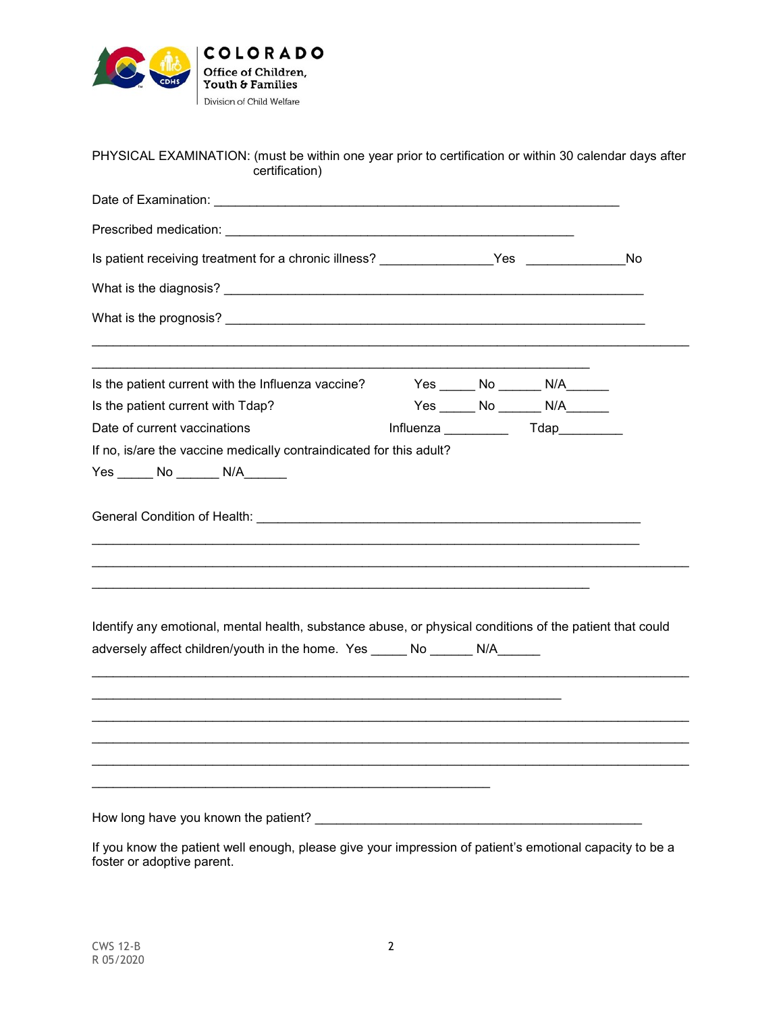

## PHYSICAL EXAMINATION: (must be within one year prior to certification or within 30 calendar days after certification)

| Is patient receiving treatment for a chronic illness? ________________Yes _____________No                                                                                                 |  |                                         |  |
|-------------------------------------------------------------------------------------------------------------------------------------------------------------------------------------------|--|-----------------------------------------|--|
|                                                                                                                                                                                           |  |                                         |  |
|                                                                                                                                                                                           |  |                                         |  |
| Is the patient current with the Influenza vaccine?                                                                                                                                        |  | Yes _______ No ________ N/A_______      |  |
| Is the patient current with Tdap?                                                                                                                                                         |  | Yes ______ No _______ N/A_______        |  |
| Date of current vaccinations                                                                                                                                                              |  | Influenza ____________  Tdap___________ |  |
|                                                                                                                                                                                           |  |                                         |  |
| Identify any emotional, mental health, substance abuse, or physical conditions of the patient that could<br>adversely affect children/youth in the home. Yes ______ No _______ N/A_______ |  |                                         |  |
|                                                                                                                                                                                           |  |                                         |  |
| How long have you known the patient?                                                                                                                                                      |  |                                         |  |

If you know the patient well enough, please give your impression of patient's emotional capacity to be a foster or adoptive parent.